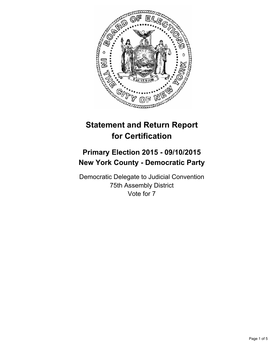

# **Statement and Return Report for Certification**

# **Primary Election 2015 - 09/10/2015 New York County - Democratic Party**

Democratic Delegate to Judicial Convention 75th Assembly District Vote for 7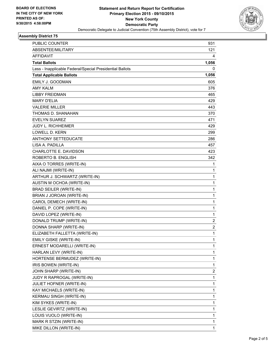

## **Assembly District 75**

| <b>PUBLIC COUNTER</b>                                    | 931          |
|----------------------------------------------------------|--------------|
| ABSENTEE/MILITARY                                        | 121          |
| AFFIDAVIT                                                | 4            |
| <b>Total Ballots</b>                                     | 1,056        |
| Less - Inapplicable Federal/Special Presidential Ballots | 0            |
| <b>Total Applicable Ballots</b>                          | 1,056        |
| EMILY J. GOODMAN                                         | 605          |
| <b>AMY KALM</b>                                          | 376          |
| <b>LIBBY FREIDMAN</b>                                    | 465          |
| <b>MARY D'ELIA</b>                                       | 429          |
| <b>VALERIE MILLER</b>                                    | 443          |
| THOMAS D. SHANAHAN                                       | 370          |
| <b>EVELYN SUAREZ</b>                                     | 471          |
| <b>JUDY L. RICHHEIMER</b>                                | 429          |
| LOWELL D. KERN                                           | 299          |
| <b>ANTHONY SETTEDUCATE</b>                               | 286          |
| LISA A. PADILLA                                          | 457          |
| <b>CHARLOTTE E. DAVIDSON</b>                             | 423          |
| ROBERTO B. ENGLISH                                       | 342          |
| AIXA O TORRES (WRITE-IN)                                 | 1            |
| ALI NAJMI (WRITE-IN)                                     | 1            |
| ARTHUR J. SCHWARTZ (WRITE-IN)                            | $\mathbf 1$  |
| AUSTIN M OCHOA (WRITE-IN)                                | 1            |
| <b>BRAD SEILER (WRITE-IN)</b>                            | 1            |
| BRIAN J JOROAN (WRITE-IN)                                | $\mathbf 1$  |
| CAROL DEMECH (WRITE-IN)                                  | 1            |
| DANIEL P. COPE (WRITE-IN)                                | 1            |
| DAVID LOPEZ (WRITE-IN)                                   | $\mathbf 1$  |
| DONALD TRUMP (WRITE-IN)                                  | 2            |
| DONNA SHARP (WRITE-IN)                                   | 2            |
| ELIZABETH FALLETTA (WRITE-IN)                            | $\mathbf 1$  |
| EMILY GISKE (WRITE-IN)                                   | $\mathbf{1}$ |
| ERNEST MODARELLI (WRITE-IN)                              | 1            |
| HARLAN LEVY (WRITE-IN)                                   | 1            |
| HORTENSE BERMUDEZ (WRITE-IN)                             | 1            |
| IRIS BOWEN (WRITE-IN)                                    | 1            |
| JOHN SHARP (WRITE-IN)                                    | 2            |
| JUDY R RAPROGAL (WRITE-IN)                               | 1            |
| JULIET HOFNER (WRITE-IN)                                 | 1            |
| KAY MICHAELS (WRITE-IN)                                  | 1            |
| KERMAU SINGH (WRITE-IN)                                  | 1            |
| KIM SYKES (WRITE-IN)                                     | 1            |
| LESLIE GEVIRTZ (WRITE-IN)                                | 1            |
| LOUIS VUOLO (WRITE-IN)                                   | 1            |
| MARK R STZIN (WRITE-IN)                                  | 1            |
| MIKE DILLON (WRITE-IN)                                   | 1            |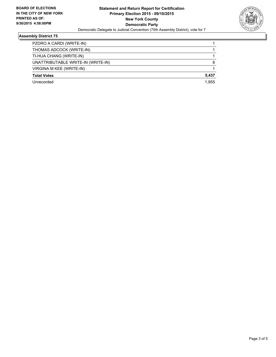

## **Assembly District 75**

| PZDRO A CARDI (WRITE-IN)           |       |
|------------------------------------|-------|
| THOMAS ADCOCK (WRITE-IN)           |       |
| TI-HUA CHANG (WRITE-IN)            |       |
| UNATTRIBUTABLE WRITE-IN (WRITE-IN) | 8     |
| VIRGINA M KEE (WRITE-IN)           |       |
| <b>Total Votes</b>                 | 5,437 |
| Unrecorded                         | 1.955 |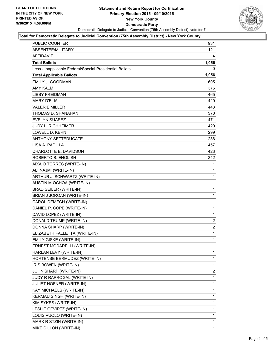

#### **Total for Democratic Delegate to Judicial Convention (75th Assembly District) - New York County**

| <b>PUBLIC COUNTER</b>                                    | 931            |
|----------------------------------------------------------|----------------|
| ABSENTEE/MILITARY                                        | 121            |
| <b>AFFIDAVIT</b>                                         | 4              |
| <b>Total Ballots</b>                                     | 1,056          |
| Less - Inapplicable Federal/Special Presidential Ballots | 0              |
| <b>Total Applicable Ballots</b>                          | 1,056          |
| <b>EMILY J. GOODMAN</b>                                  | 605            |
| AMY KAI M                                                | 376            |
| <b>LIBBY FREIDMAN</b>                                    | 465            |
| <b>MARY D'ELIA</b>                                       | 429            |
| <b>VALERIE MILLER</b>                                    | 443            |
| THOMAS D. SHANAHAN                                       | 370            |
| <b>EVELYN SUAREZ</b>                                     | 471            |
| <b>JUDY L. RICHHEIMER</b>                                | 429            |
| <b>LOWELL D. KERN</b>                                    | 299            |
| <b>ANTHONY SETTEDUCATE</b>                               | 286            |
| LISA A. PADILLA                                          | 457            |
| <b>CHARLOTTE E. DAVIDSON</b>                             | 423            |
| ROBERTO B. ENGLISH                                       | 342            |
| AIXA O TORRES (WRITE-IN)                                 | 1              |
| ALI NAJMI (WRITE-IN)                                     | 1              |
| ARTHUR J. SCHWARTZ (WRITE-IN)                            | 1              |
| AUSTIN M OCHOA (WRITE-IN)                                | 1              |
| <b>BRAD SEILER (WRITE-IN)</b>                            | 1              |
| BRIAN J JOROAN (WRITE-IN)                                | 1              |
| CAROL DEMECH (WRITE-IN)                                  | 1              |
| DANIEL P. COPE (WRITE-IN)                                | 1              |
| DAVID LOPEZ (WRITE-IN)                                   | 1              |
| DONALD TRUMP (WRITE-IN)                                  | 2              |
| DONNA SHARP (WRITE-IN)                                   | $\overline{2}$ |
| ELIZABETH FALLETTA (WRITE-IN)                            | $\mathbf{1}$   |
| EMILY GISKE (WRITE-IN)                                   | 1              |
| ERNEST MODARELLI (WRITE-IN)                              | 1              |
| HARLAN LEVY (WRITE-IN)                                   | 1              |
| HORTENSE BERMUDEZ (WRITE-IN)                             | 1              |
| IRIS BOWEN (WRITE-IN)                                    | 1              |
| JOHN SHARP (WRITE-IN)                                    | 2              |
| JUDY R RAPROGAL (WRITE-IN)                               | 1              |
| <b>JULIET HOFNER (WRITE-IN)</b>                          | 1              |
| KAY MICHAELS (WRITE-IN)                                  | 1              |
| KERMAU SINGH (WRITE-IN)                                  | 1              |
| KIM SYKES (WRITE-IN)                                     | 1              |
| LESLIE GEVIRTZ (WRITE-IN)                                | 1              |
| LOUIS VUOLO (WRITE-IN)                                   | 1              |
| MARK R STZIN (WRITE-IN)                                  | 1              |
| MIKE DILLON (WRITE-IN)                                   | $\mathbf{1}$   |